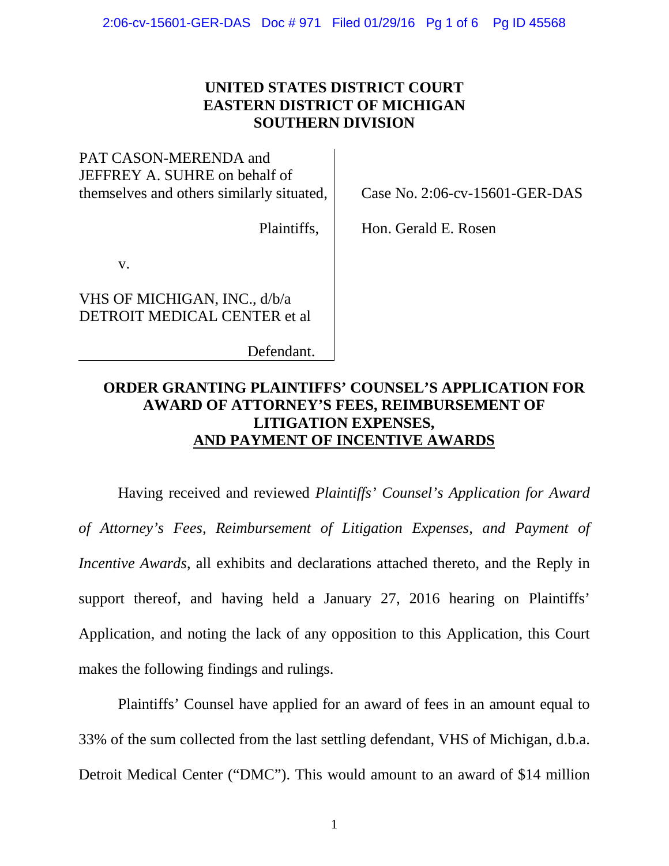## **UNITED STATES DISTRICT COURT EASTERN DISTRICT OF MICHIGAN SOUTHERN DIVISION**

PAT CASON-MERENDA and JEFFREY A. SUHRE on behalf of themselves and others similarly situated,

Plaintiffs,

Case No. 2:06-cv-15601-GER-DAS

Hon. Gerald E. Rosen

v.

VHS OF MICHIGAN, INC., d/b/a DETROIT MEDICAL CENTER et al

Defendant.

# **ORDER GRANTING PLAINTIFFS' COUNSEL'S APPLICATION FOR AWARD OF ATTORNEY'S FEES, REIMBURSEMENT OF LITIGATION EXPENSES, AND PAYMENT OF INCENTIVE AWARDS**

Having received and reviewed *Plaintiffs' Counsel's Application for Award of Attorney's Fees, Reimbursement of Litigation Expenses, and Payment of Incentive Awards*, all exhibits and declarations attached thereto, and the Reply in support thereof, and having held a January 27, 2016 hearing on Plaintiffs' Application, and noting the lack of any opposition to this Application, this Court makes the following findings and rulings.

Plaintiffs' Counsel have applied for an award of fees in an amount equal to 33% of the sum collected from the last settling defendant, VHS of Michigan, d.b.a. Detroit Medical Center ("DMC"). This would amount to an award of \$14 million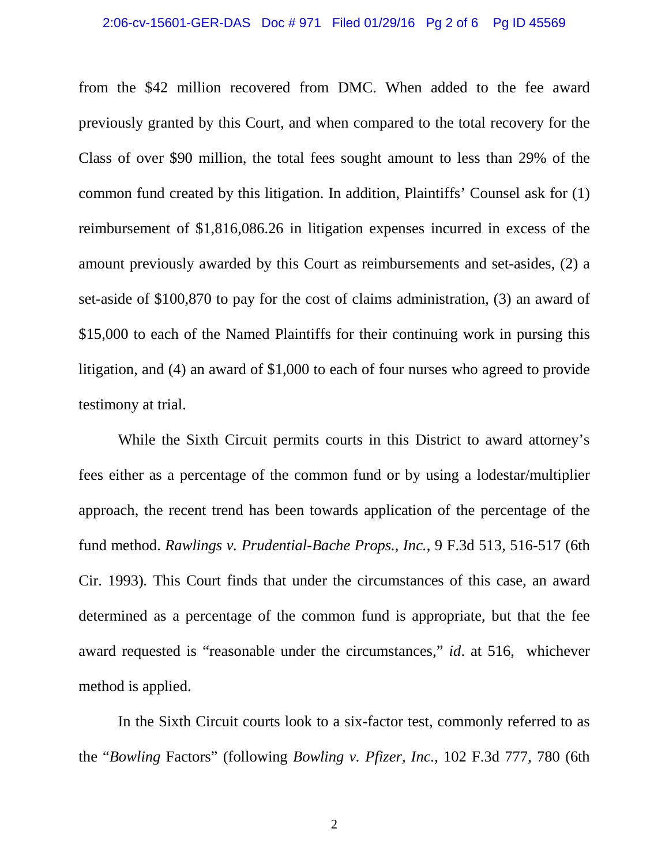#### 2:06-cv-15601-GER-DAS Doc # 971 Filed 01/29/16 Pg 2 of 6 Pg ID 45569

from the \$42 million recovered from DMC. When added to the fee award previously granted by this Court, and when compared to the total recovery for the Class of over \$90 million, the total fees sought amount to less than 29% of the common fund created by this litigation. In addition, Plaintiffs' Counsel ask for (1) reimbursement of \$1,816,086.26 in litigation expenses incurred in excess of the amount previously awarded by this Court as reimbursements and set-asides, (2) a set-aside of \$100,870 to pay for the cost of claims administration, (3) an award of \$15,000 to each of the Named Plaintiffs for their continuing work in pursing this litigation, and (4) an award of \$1,000 to each of four nurses who agreed to provide testimony at trial.

While the Sixth Circuit permits courts in this District to award attorney's fees either as a percentage of the common fund or by using a lodestar/multiplier approach, the recent trend has been towards application of the percentage of the fund method. *Rawlings v. Prudential-Bache Props., Inc.*, 9 F.3d 513, 516-517 (6th Cir. 1993)*.* This Court finds that under the circumstances of this case, an award determined as a percentage of the common fund is appropriate, but that the fee award requested is "reasonable under the circumstances," *id*. at 516, whichever method is applied.

In the Sixth Circuit courts look to a six-factor test, commonly referred to as the "*Bowling* Factors" (following *Bowling v. Pfizer, Inc.*, 102 F.3d 777, 780 (6th

2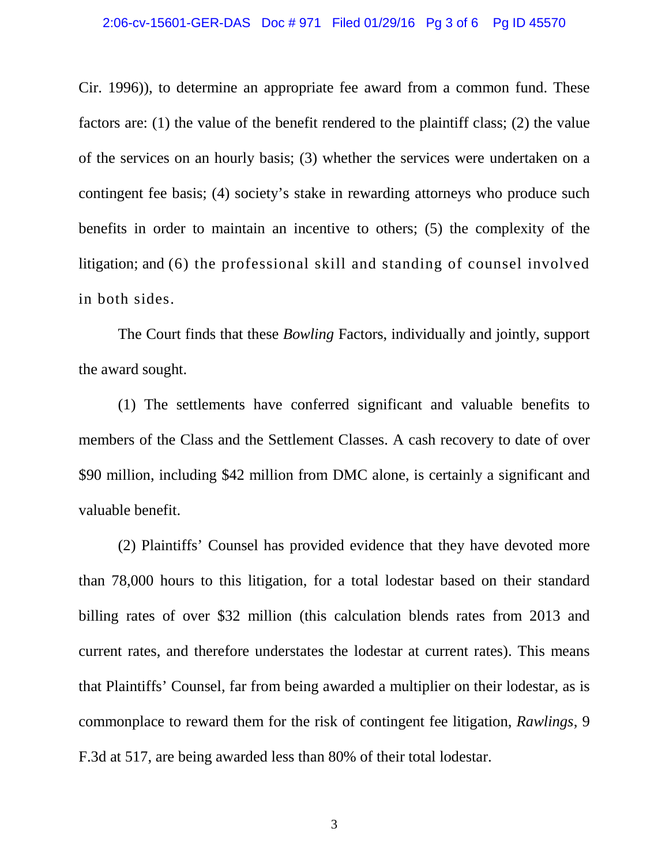#### 2:06-cv-15601-GER-DAS Doc # 971 Filed 01/29/16 Pg 3 of 6 Pg ID 45570

Cir. 1996)), to determine an appropriate fee award from a common fund. These factors are: (1) the value of the benefit rendered to the plaintiff class; (2) the value of the services on an hourly basis; (3) whether the services were undertaken on a contingent fee basis; (4) society's stake in rewarding attorneys who produce such benefits in order to maintain an incentive to others; (5) the complexity of the litigation; and (6) the professional skill and standing of counsel involved in both sides.

The Court finds that these *Bowling* Factors, individually and jointly, support the award sought.

(1) The settlements have conferred significant and valuable benefits to members of the Class and the Settlement Classes. A cash recovery to date of over \$90 million, including \$42 million from DMC alone, is certainly a significant and valuable benefit.

(2) Plaintiffs' Counsel has provided evidence that they have devoted more than 78,000 hours to this litigation, for a total lodestar based on their standard billing rates of over \$32 million (this calculation blends rates from 2013 and current rates, and therefore understates the lodestar at current rates). This means that Plaintiffs' Counsel, far from being awarded a multiplier on their lodestar, as is commonplace to reward them for the risk of contingent fee litigation, *Rawlings*, 9 F.3d at 517, are being awarded less than 80% of their total lodestar.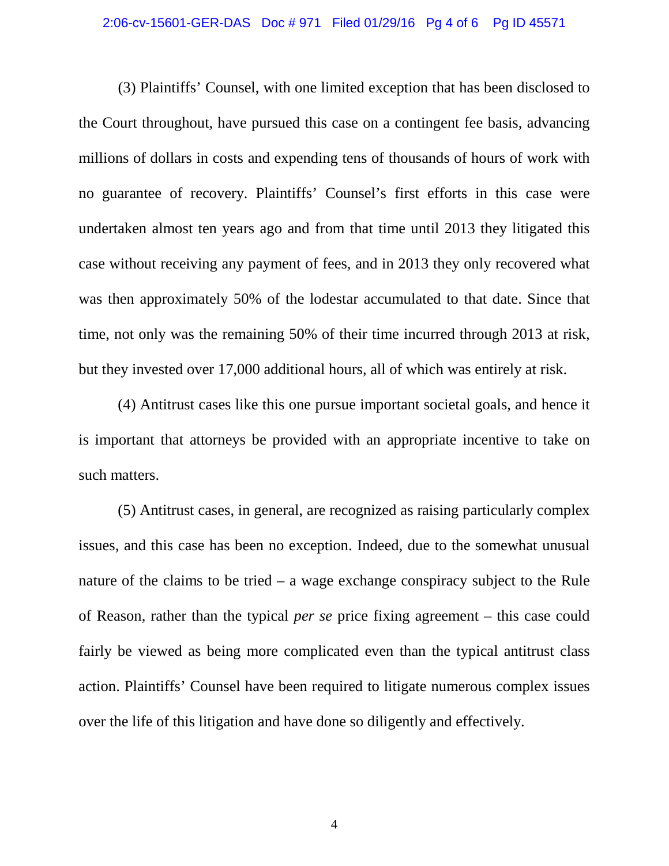#### 2:06-cv-15601-GER-DAS Doc # 971 Filed 01/29/16 Pg 4 of 6 Pg ID 45571

(3) Plaintiffs' Counsel, with one limited exception that has been disclosed to the Court throughout, have pursued this case on a contingent fee basis, advancing millions of dollars in costs and expending tens of thousands of hours of work with no guarantee of recovery. Plaintiffs' Counsel's first efforts in this case were undertaken almost ten years ago and from that time until 2013 they litigated this case without receiving any payment of fees, and in 2013 they only recovered what was then approximately 50% of the lodestar accumulated to that date. Since that time, not only was the remaining 50% of their time incurred through 2013 at risk, but they invested over 17,000 additional hours, all of which was entirely at risk.

(4) Antitrust cases like this one pursue important societal goals, and hence it is important that attorneys be provided with an appropriate incentive to take on such matters.

(5) Antitrust cases, in general, are recognized as raising particularly complex issues, and this case has been no exception. Indeed, due to the somewhat unusual nature of the claims to be tried – a wage exchange conspiracy subject to the Rule of Reason, rather than the typical *per se* price fixing agreement – this case could fairly be viewed as being more complicated even than the typical antitrust class action. Plaintiffs' Counsel have been required to litigate numerous complex issues over the life of this litigation and have done so diligently and effectively.

4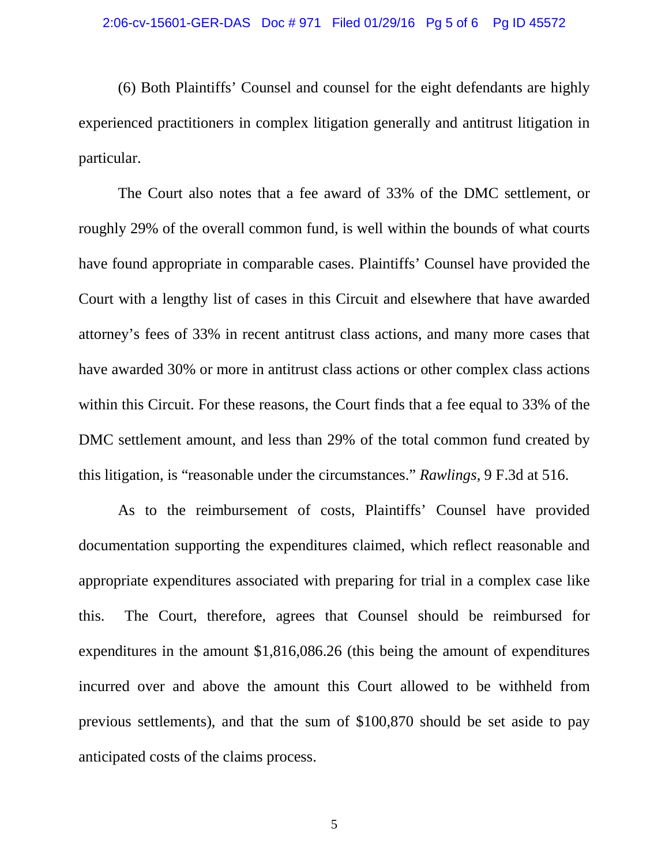(6) Both Plaintiffs' Counsel and counsel for the eight defendants are highly experienced practitioners in complex litigation generally and antitrust litigation in particular.

The Court also notes that a fee award of 33% of the DMC settlement, or roughly 29% of the overall common fund, is well within the bounds of what courts have found appropriate in comparable cases. Plaintiffs' Counsel have provided the Court with a lengthy list of cases in this Circuit and elsewhere that have awarded attorney's fees of 33% in recent antitrust class actions, and many more cases that have awarded 30% or more in antitrust class actions or other complex class actions within this Circuit. For these reasons, the Court finds that a fee equal to 33% of the DMC settlement amount, and less than 29% of the total common fund created by this litigation, is "reasonable under the circumstances." *Rawlings*, 9 F.3d at 516.

As to the reimbursement of costs, Plaintiffs' Counsel have provided documentation supporting the expenditures claimed, which reflect reasonable and appropriate expenditures associated with preparing for trial in a complex case like this. The Court, therefore, agrees that Counsel should be reimbursed for expenditures in the amount \$1,816,086.26 (this being the amount of expenditures incurred over and above the amount this Court allowed to be withheld from previous settlements), and that the sum of \$100,870 should be set aside to pay anticipated costs of the claims process.

5